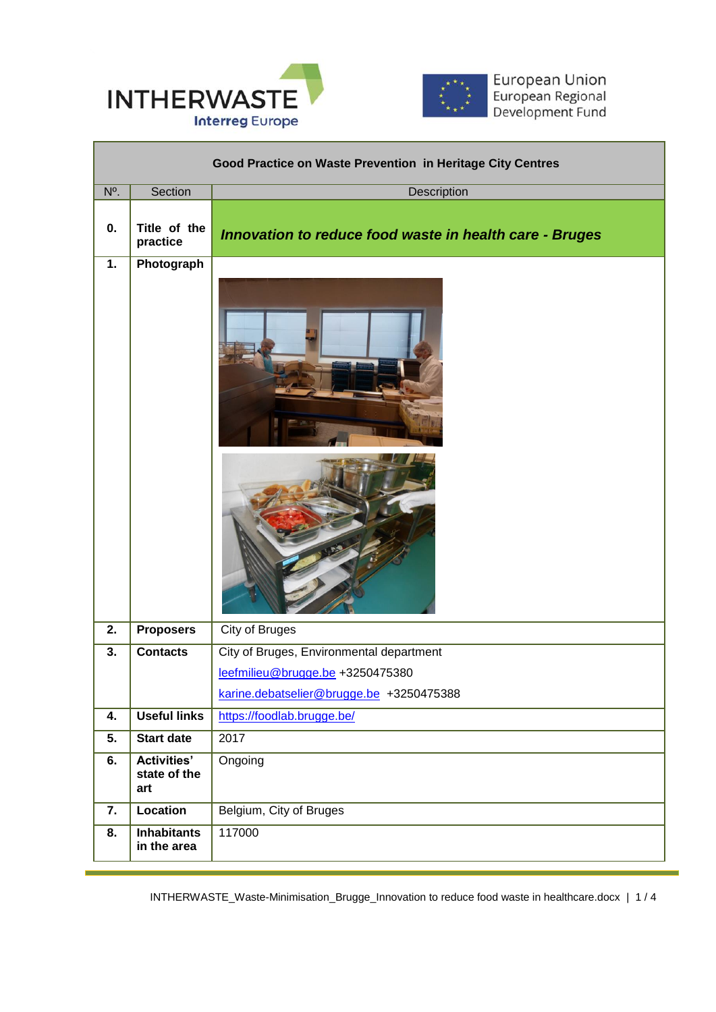



European Union<br>European Regional<br>Development Fund

T

| Good Practice on Waste Prevention in Heritage City Centres |                                           |                                                         |  |
|------------------------------------------------------------|-------------------------------------------|---------------------------------------------------------|--|
| N°.                                                        | Section                                   | Description                                             |  |
| 0.                                                         | Title of the<br>practice                  | Innovation to reduce food waste in health care - Bruges |  |
| $\overline{1}$ .                                           | Photograph                                |                                                         |  |
|                                                            |                                           |                                                         |  |
| $\overline{2}$ .                                           | <b>Proposers</b>                          | <b>City of Bruges</b>                                   |  |
| 3.                                                         | <b>Contacts</b>                           | City of Bruges, Environmental department                |  |
|                                                            |                                           | leefmilieu@brugge.be +3250475380                        |  |
|                                                            |                                           | karine.debatselier@brugge.be +3250475388                |  |
| 4.                                                         | <b>Useful links</b>                       | https://foodlab.brugge.be/                              |  |
| 5.                                                         | <b>Start date</b>                         | 2017                                                    |  |
| 6.                                                         | <b>Activities'</b><br>state of the<br>art | Ongoing                                                 |  |
| 7.                                                         | <b>Location</b>                           | Belgium, City of Bruges                                 |  |
| $\overline{8}$ .                                           | <b>Inhabitants</b><br>in the area         | 117000                                                  |  |

 $\overline{a}$ 

INTHERWASTE\_Waste-Minimisation\_Brugge\_Innovation to reduce food waste in healthcare.docx | 1 / 4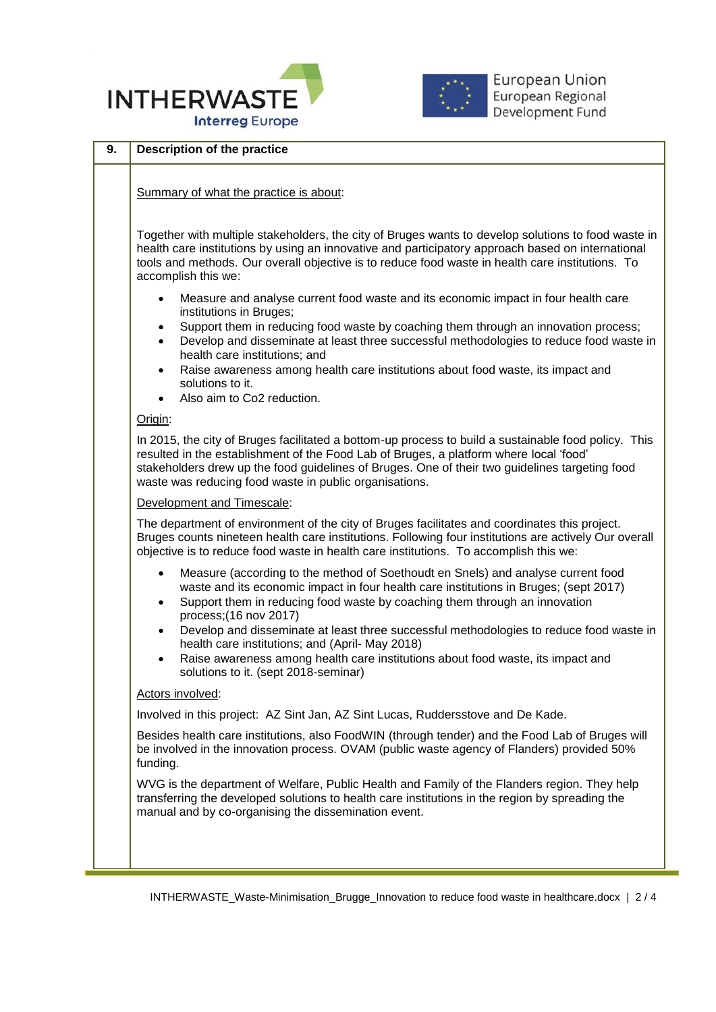



| 9. | <b>Description of the practice</b>                                                                                                                                                                                                                                                                                                                                      |  |  |
|----|-------------------------------------------------------------------------------------------------------------------------------------------------------------------------------------------------------------------------------------------------------------------------------------------------------------------------------------------------------------------------|--|--|
|    | Summary of what the practice is about:                                                                                                                                                                                                                                                                                                                                  |  |  |
|    | Together with multiple stakeholders, the city of Bruges wants to develop solutions to food waste in<br>health care institutions by using an innovative and participatory approach based on international<br>tools and methods. Our overall objective is to reduce food waste in health care institutions. To<br>accomplish this we:                                     |  |  |
|    | Measure and analyse current food waste and its economic impact in four health care<br>$\bullet$<br>institutions in Bruges;<br>Support them in reducing food waste by coaching them through an innovation process;<br>$\bullet$<br>Develop and disseminate at least three successful methodologies to reduce food waste in<br>$\bullet$<br>health care institutions; and |  |  |
|    | Raise awareness among health care institutions about food waste, its impact and<br>$\bullet$<br>solutions to it.<br>Also aim to Co2 reduction.                                                                                                                                                                                                                          |  |  |
|    | Origin:                                                                                                                                                                                                                                                                                                                                                                 |  |  |
|    | In 2015, the city of Bruges facilitated a bottom-up process to build a sustainable food policy. This<br>resulted in the establishment of the Food Lab of Bruges, a platform where local 'food'<br>stakeholders drew up the food guidelines of Bruges. One of their two guidelines targeting food<br>waste was reducing food waste in public organisations.              |  |  |
|    | Development and Timescale:                                                                                                                                                                                                                                                                                                                                              |  |  |
|    | The department of environment of the city of Bruges facilitates and coordinates this project.<br>Bruges counts nineteen health care institutions. Following four institutions are actively Our overall<br>objective is to reduce food waste in health care institutions. To accomplish this we:                                                                         |  |  |
|    | Measure (according to the method of Soethoudt en Snels) and analyse current food<br>$\bullet$<br>waste and its economic impact in four health care institutions in Bruges; (sept 2017)<br>Support them in reducing food waste by coaching them through an innovation<br>$\bullet$<br>process; (16 nov 2017)                                                             |  |  |
|    | Develop and disseminate at least three successful methodologies to reduce food waste in<br>$\bullet$<br>health care institutions; and (April- May 2018)<br>Raise awareness among health care institutions about food waste, its impact and<br>$\bullet$<br>solutions to it. (sept 2018-seminar)                                                                         |  |  |
|    | Actors involved:                                                                                                                                                                                                                                                                                                                                                        |  |  |
|    | Involved in this project: AZ Sint Jan, AZ Sint Lucas, Ruddersstove and De Kade.                                                                                                                                                                                                                                                                                         |  |  |
|    | Besides health care institutions, also FoodWIN (through tender) and the Food Lab of Bruges will<br>be involved in the innovation process. OVAM (public waste agency of Flanders) provided 50%<br>funding.                                                                                                                                                               |  |  |
|    | WVG is the department of Welfare, Public Health and Family of the Flanders region. They help<br>transferring the developed solutions to health care institutions in the region by spreading the<br>manual and by co-organising the dissemination event.                                                                                                                 |  |  |
|    |                                                                                                                                                                                                                                                                                                                                                                         |  |  |

 $\overline{a}$ 

INTHERWASTE\_Waste-Minimisation\_Brugge\_Innovation to reduce food waste in healthcare.docx | 2 / 4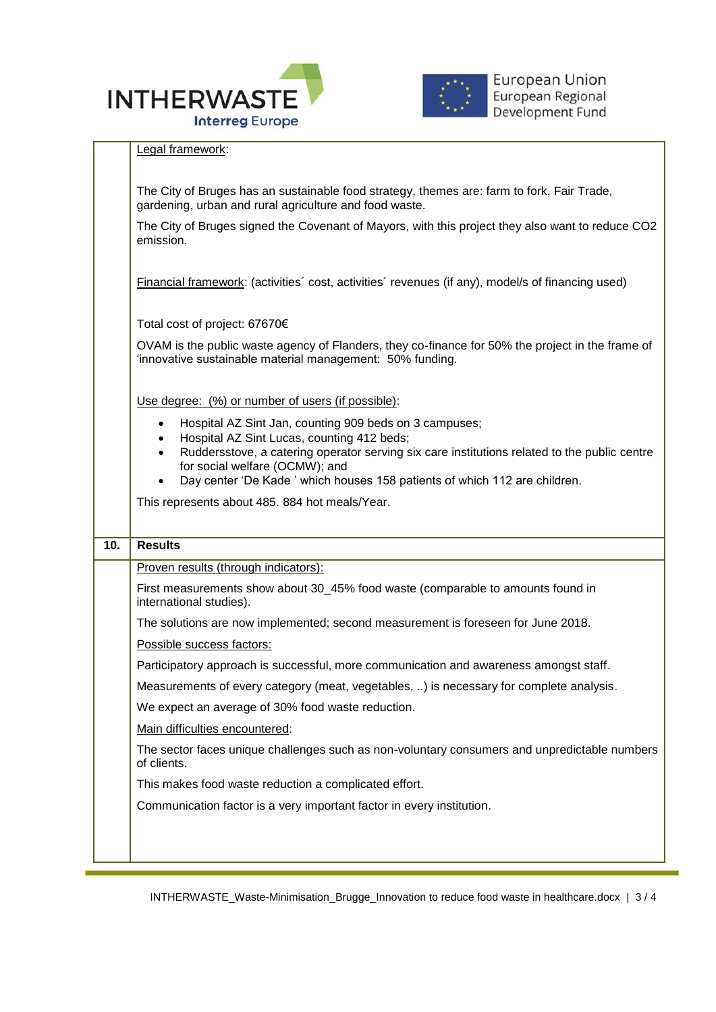



|     | Legal framework:                                                                                                                                                                               |  |  |  |
|-----|------------------------------------------------------------------------------------------------------------------------------------------------------------------------------------------------|--|--|--|
|     | The City of Bruges has an sustainable food strategy, themes are: farm to fork, Fair Trade,<br>gardening, urban and rural agriculture and food waste.                                           |  |  |  |
|     | The City of Bruges signed the Covenant of Mayors, with this project they also want to reduce CO2<br>emission.                                                                                  |  |  |  |
|     | <b>Financial framework:</b> (activities' cost, activities' revenues (if any), model/s of financing used)                                                                                       |  |  |  |
|     | Total cost of project: 67670€<br>OVAM is the public waste agency of Flanders, they co-finance for 50% the project in the frame of<br>'innovative sustainable material management: 50% funding. |  |  |  |
|     |                                                                                                                                                                                                |  |  |  |
|     | Use degree: (%) or number of users (if possible):                                                                                                                                              |  |  |  |
|     | Hospital AZ Sint Jan, counting 909 beds on 3 campuses;<br>$\bullet$<br>Hospital AZ Sint Lucas, counting 412 beds;<br>$\bullet$                                                                 |  |  |  |
|     | Ruddersstove, a catering operator serving six care institutions related to the public centre<br>$\bullet$<br>for social welfare (OCMW); and                                                    |  |  |  |
|     | Day center 'De Kade' which houses 158 patients of which 112 are children.<br>$\bullet$                                                                                                         |  |  |  |
|     | This represents about 485. 884 hot meals/Year.                                                                                                                                                 |  |  |  |
| 10. | <b>Results</b>                                                                                                                                                                                 |  |  |  |
|     | Proven results (through indicators):                                                                                                                                                           |  |  |  |
|     | First measurements show about 30_45% food waste (comparable to amounts found in<br>international studies).                                                                                     |  |  |  |
|     | The solutions are now implemented; second measurement is foreseen for June 2018.                                                                                                               |  |  |  |
|     | Possible success factors:                                                                                                                                                                      |  |  |  |
|     | Participatory approach is successful, more communication and awareness amongst staff.                                                                                                          |  |  |  |
|     | Measurements of every category (meat, vegetables, ) is necessary for complete analysis.                                                                                                        |  |  |  |
|     | We expect an average of 30% food waste reduction.                                                                                                                                              |  |  |  |
|     | Main difficulties encountered:                                                                                                                                                                 |  |  |  |
|     |                                                                                                                                                                                                |  |  |  |
|     | The sector faces unique challenges such as non-voluntary consumers and unpredictable numbers<br>of clients.                                                                                    |  |  |  |
|     | This makes food waste reduction a complicated effort.                                                                                                                                          |  |  |  |
|     | Communication factor is a very important factor in every institution.                                                                                                                          |  |  |  |

 $\overline{a}$